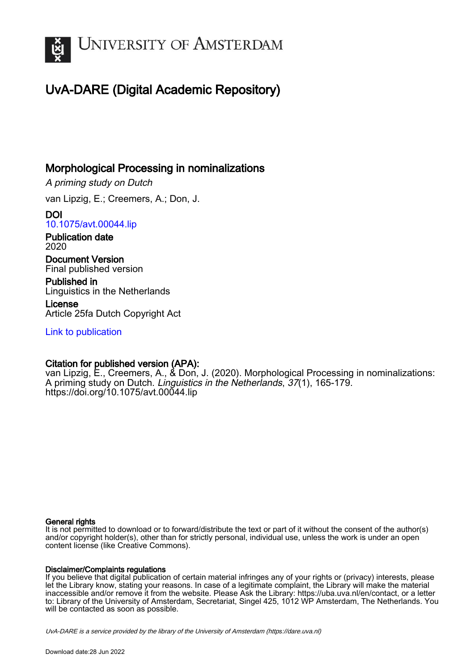

## UvA-DARE (Digital Academic Repository)

## Morphological Processing in nominalizations

A priming study on Dutch

van Lipzig, E.; Creemers, A.; Don, J.

DOI [10.1075/avt.00044.lip](https://doi.org/10.1075/avt.00044.lip)

Publication date 2020

Document Version Final published version

Published in Linguistics in the Netherlands

License Article 25fa Dutch Copyright Act

[Link to publication](https://dare.uva.nl/personal/pure/en/publications/morphological-processing-in-nominalizations(c2fa1479-7eb5-4a76-af88-84974140c3ae).html)

### Citation for published version (APA):

van Lipzig, E., Creemers, A., & Don, J. (2020). Morphological Processing in nominalizations: A priming study on Dutch. Linguistics in the Netherlands, 37(1), 165-179. <https://doi.org/10.1075/avt.00044.lip>

#### General rights

It is not permitted to download or to forward/distribute the text or part of it without the consent of the author(s) and/or copyright holder(s), other than for strictly personal, individual use, unless the work is under an open content license (like Creative Commons).

#### Disclaimer/Complaints regulations

If you believe that digital publication of certain material infringes any of your rights or (privacy) interests, please let the Library know, stating your reasons. In case of a legitimate complaint, the Library will make the material inaccessible and/or remove it from the website. Please Ask the Library: https://uba.uva.nl/en/contact, or a letter to: Library of the University of Amsterdam, Secretariat, Singel 425, 1012 WP Amsterdam, The Netherlands. You will be contacted as soon as possible.

UvA-DARE is a service provided by the library of the University of Amsterdam (http*s*://dare.uva.nl)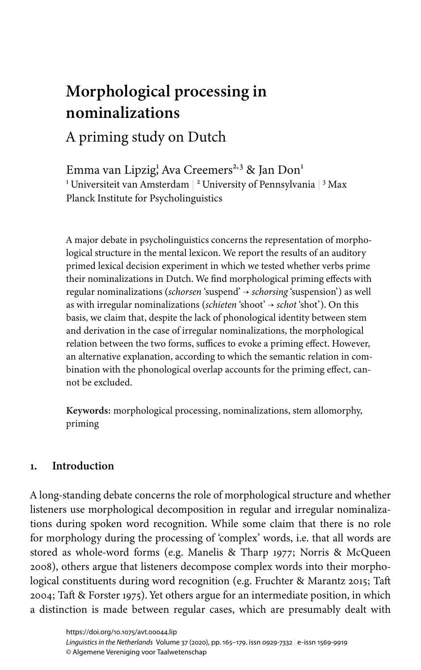# **Morphological processing in nominalizations**

## A priming study on Dutch

Emma van Lipzig<sup>1</sup>, Ava Creemers<sup>2,3</sup> & Jan Don<sup>1</sup>  $^{\rm 1}$ Universiteit van Amsterdam  $\vert$   $^{\rm 2}$  University of Pennsylvania  $\vert$   $^{\rm 3}$  Max Planck Institute for Psycholinguistics

A major debate in psycholinguistics concerns the representation of morphological structure in the mental lexicon. We report the results of an auditory primed lexical decision experiment in which we tested whether verbs prime their nominalizations in Dutch. We find morphological priming effects with regular nominalizations (*schorsen* 'suspend' → *schorsing* 'suspension') as well as with irregular nominalizations (*schieten* 'shoot' → *schot* 'shot'). On this basis, we claim that, despite the lack of phonological identity between stem and derivation in the case of irregular nominalizations, the morphological relation between the two forms, suffices to evoke a priming effect. However, an alternative explanation, according to which the semantic relation in combination with the phonological overlap accounts for the priming effect, cannot be excluded.

**Keywords:** morphological processing, nominalizations, stem allomorphy, priming

#### **1. Introduction**

A long-standing debate concerns the role of morphological structure and whether listeners use morphological decomposition in regular and irregular nominalizations during spoken word recognition. While some claim that there is no role for morphology during the processing of 'complex' words, i.e. that all words are stored as whole-word forms (e.g. [Manelis & Tharp 1977;](#page-14-0) [Norris & McQueen](#page-14-1) [2008\)](#page-14-1), others argue that listeners decompose complex words into their morphological constituents during word recognition (e.g. [Fruchter & Marantz 2015](#page-14-2); [Taft](#page-15-0) [2004](#page-15-0); [Taft & Forster 1975\)](#page-15-1). Yet others argue for an intermediate position, in which a distinction is made between regular cases, which are presumably dealt with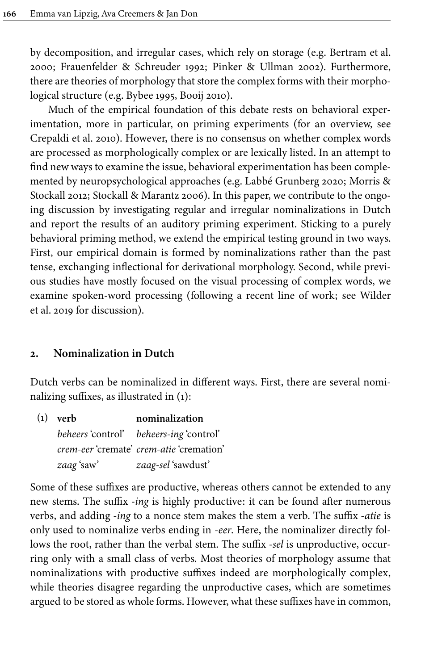by decomposition, and irregular cases, which rely on storage (e.g. [Bertram et](#page-13-0) al. [2000;](#page-13-0) [Frauenfelder & Schreuder 1992;](#page-14-3) [Pinker & Ullman 2002](#page-14-4)). Furthermore, there are theories of morphology that store the complex forms with their morphological structure (e.g. [Bybee 1995,](#page-13-1) [Booij 2010](#page-13-2)).

Much of the empirical foundation of this debate rests on behavioral experimentation, more in particular, on priming experiments (for an overview, see [Crepaldi et](#page-13-3) al. 2010). However, there is no consensus on whether complex words are processed as morphologically complex or are lexically listed. In an attempt to find new ways to examine the issue, behavioral experimentation has been complemented by neuropsychological approaches (e.g. [Labbé Grunberg 2020;](#page-14-5) [Morris &](#page-14-6) [Stockall 2012](#page-14-6); [Stockall & Marantz 2006](#page-15-3)). In this paper, we contribute to the ongoing discussion by investigating regular and irregular nominalizations in Dutch and report the results of an auditory priming experiment. Sticking to a purely behavioral priming method, we extend the empirical testing ground in two ways. First, our empirical domain is formed by nominalizations rather than the past tense, exchanging inflectional for derivational morphology. Second, while previous studies have mostly focused on the visual processing of complex words, we examine spoken-word processing (following a recent line of work; see [Wilder](#page-15-4) et [al. 2019](#page-15-4) for discussion).

#### **2. Nominalization in Dutch**

Dutch verbs can be nominalized in different ways. First, there are several nominalizing suffixes, as illustrated in [\(1\)](#page-2-0):

<span id="page-2-0"></span>

| $(1)$ verb | nominalization                                  |
|------------|-------------------------------------------------|
|            | beheers 'control' beheers-ing 'control'         |
|            | <i>crem-eer 'cremate' crem-atie 'cremation'</i> |
| zaag 'saw' | zaag-sel 'sawdust'                              |

Some of these suffixes are productive, whereas others cannot be extended to any new stems. The suffix -*ing* is highly productive: it can be found after numerous verbs, and adding -*ing* to a nonce stem makes the stem a verb. The suffix -*atie* is only used to nominalize verbs ending in *-eer*. Here, the nominalizer directly follows the root, rather than the verbal stem. The suffix -*sel* is unproductive, occurring only with a small class of verbs. Most theories of morphology assume that nominalizations with productive suffixes indeed are morphologically complex, while theories disagree regarding the unproductive cases, which are sometimes argued to be stored as whole forms. However, what these suffixes have in common,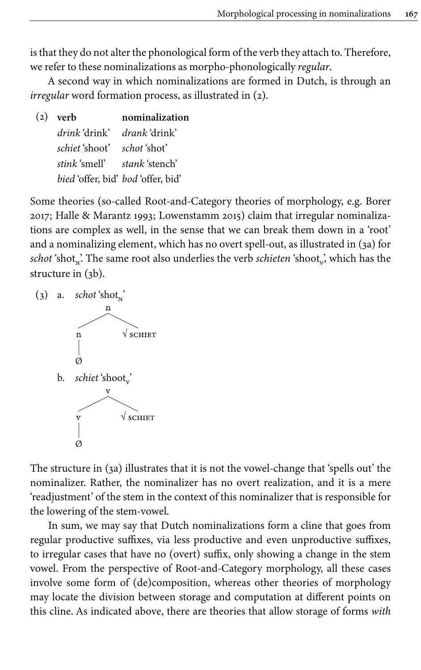is that they do not alter the phonological form of the verb they attach to. Therefore, we refer to these nominalizations as morpho-phonologically *regular*.

A second way in which nominalizations are formed in Dutch, is through an *irregular* word formation process, as illustrated in [\(2\)](#page-3-0).

<span id="page-3-0"></span>

| $(2)$ verb | nominalization                                                                                                                                |  |
|------------|-----------------------------------------------------------------------------------------------------------------------------------------------|--|
|            |                                                                                                                                               |  |
|            |                                                                                                                                               |  |
|            |                                                                                                                                               |  |
|            |                                                                                                                                               |  |
|            | <i>drink</i> drink' <i>drank</i> drink'<br><i>schiet shoot schot shot</i><br>stink smell' stank stench'<br>bied 'offer, bid' bod 'offer, bid' |  |

Some theories (so-called Root-and-Category theories of morphology, e.g. [Borer](#page-13-4) [2017;](#page-13-4) [Halle & Marantz 1993;](#page-14-7) [Lowenstamm 2015](#page-14-8)) claim that irregular nominalizations are complex as well, in the sense that we can break them down in a 'root' and a nominalizing element, which has no overt spell-out, as illustrated in ([3a](#page-3-1)) for  $\mathit{schot}$  'shot<sub>x</sub>'. The same root also underlies the verb *schieten* 'shoot<sub>v'</sub>, which has the structure in [\(3b\)](#page-3-1).

<span id="page-3-1"></span>



b. *schiet* 'shoot<sub>v</sub>'



The structure in ([3a\)](#page-3-1) illustrates that it is not the vowel-change that 'spells out' the nominalizer. Rather, the nominalizer has no overt realization, and it is a mere 'readjustment' of the stem in the context of this nominalizer that is responsible for the lowering of the stem-vowel.

In sum, we may say that Dutch nominalizations form a cline that goes from regular productive suffixes, via less productive and even unproductive suffixes, to irregular cases that have no (overt) suffix, only showing a change in the stem vowel. From the perspective of Root-and-Category morphology, all these cases involve some form of (de)composition, whereas other theories of morphology may locate the division between storage and computation at different points on this cline. As indicated above, there are theories that allow storage of forms *with*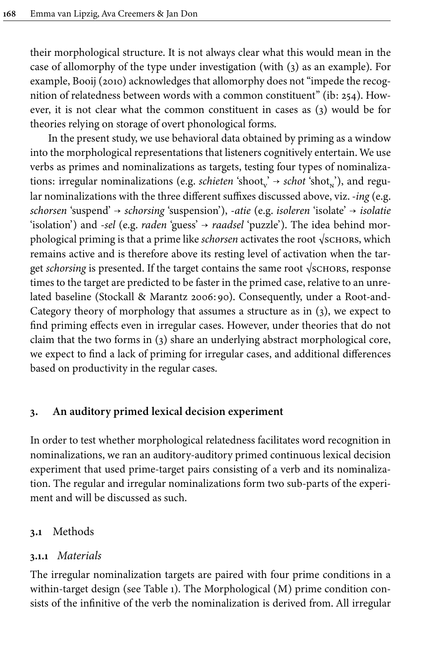their morphological structure. It is not always clear what this would mean in the case of allomorphy of the type under investigation (with [\(3](#page-3-1)) as an example). For example, [Booij \(2010\)](#page-13-2) acknowledges that allomorphy does not "impede the recognition of relatedness between words with a common constituent" (ib: 254). However, it is not clear what the common constituent in cases as ([3](#page-3-1)) would be for theories relying on storage of overt phonological forms.

In the present study, we use behavioral data obtained by priming as a window into the morphological representations that listeners cognitively entertain. We use verbs as primes and nominalizations as targets, testing four types of nominalizations: irregular nominalizations (e.g. *schieten* 'shoot<sub>v</sub>' → *schot* 'shot<sub>n</sub>'), and regular nominalizations with the three different suffixes discussed above, viz. -*ing* (e.g. *schorsen* 'suspend' → *schorsing* 'suspension'), -*atie* (e.g. *isoleren* 'isolate' → *isolatie* 'isolation') and -*sel* (e.g. *raden* 'guess' → *raadsel* 'puzzle'). The idea behind morphological priming is that a prime like *schorsen* activates the root √sсновз, which remains active and is therefore above its resting level of activation when the target *schorsing* is presented. If the target contains the same root  $\sqrt{s}$ CHORS, response times to the target are predicted to be faster in the primed case, relative to an unrelated baseline [\(Stockall & Marantz 2006](#page-15-3):90). Consequently, under a Root-and-Category theory of morphology that assumes a structure as in [\(3\)](#page-3-1), we expect to find priming effects even in irregular cases. However, under theories that do not claim that the two forms in ([3](#page-3-1)) share an underlying abstract morphological core, we expect to find a lack of priming for irregular cases, and additional differences based on productivity in the regular cases.

#### **3. An auditory primed lexical decision experiment**

In order to test whether morphological relatedness facilitates word recognition in nominalizations, we ran an auditory-auditory primed continuous lexical decision experiment that used prime-target pairs consisting of a verb and its nominalization. The regular and irregular nominalizations form two sub-parts of the experiment and will be discussed as such.

#### **3.1** Methods

#### **3.1.1** *Materials*

The irregular nominalization targets are paired with four prime conditions in a within-target design (see [Table](#page-5-0) 1). The Morphological (M) prime condition consists of the infinitive of the verb the nominalization is derived from. All irregular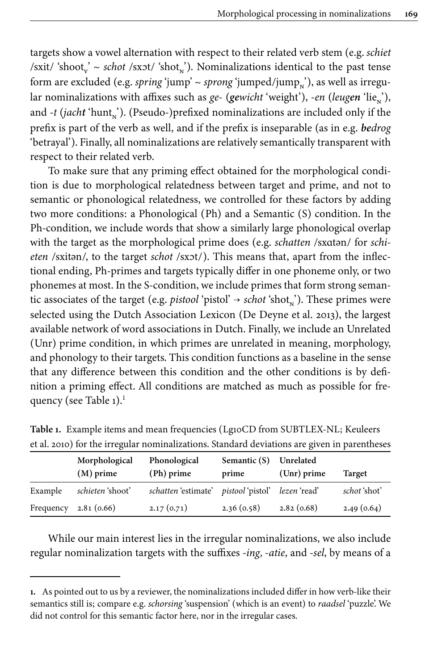targets show a vowel alternation with respect to their related verb stem (e.g. *schiet* /sxit/ 'shoot<sub>v</sub>' ~ *schot* /sxɔt/ 'shot<sub>n</sub>'). Nominalizations identical to the past tense form are excluded (e.g. *spring* 'jump' ~ *sprong* 'jumped/jump<sub>n</sub>'), as well as irregular nominalizations with affixes such as *ge-* (*gewicht* 'weight'), *-en* (*leugen* 'lie<sub>n</sub>'), and *-t* (*jacht* 'hunt<sub>n</sub>'). (Pseudo-)prefixed nominalizations are included only if the prefix is part of the verb as well, and if the prefix is inseparable (as in e.g. *bedrog* 'betrayal'). Finally, all nominalizations are relatively semantically transparent with respect to their related verb.

To make sure that any priming effect obtained for the morphological condition is due to morphological relatedness between target and prime, and not to semantic or phonological relatedness, we controlled for these factors by adding two more conditions: a Phonological (Ph) and a Semantic (S) condition. In the Ph-condition, we include words that show a similarly large phonological overlap with the target as the morphological prime does (e.g. *schatten* /sxɑtən/ for *schieten* /sxitən/, to the target *schot* /sxɔt/). This means that, apart from the inflectional ending, Ph-primes and targets typically differ in one phoneme only, or two phonemes at most. In the S-condition, we include primes that form strong semantic associates of the target (e.g. *pistool* 'pistol' → *schot* 'shot<sub>n</sub>'). These primes were selected using the Dutch Association Lexicon ([De Deyne et](#page-13-5) al. 2013), the largest available network of word associations in Dutch. Finally, we include an Unrelated (Unr) prime condition, in which primes are unrelated in meaning, morphology, and phonology to their targets. This condition functions as a baseline in the sense that any difference between this condition and the other conditions is by definition a priming effect. All conditions are matched as much as possible for fre-quency (see [Table](#page-5-0)  $1$ ).<sup>1</sup>

|           | Morphological<br>$(M)$ prime | Phonological<br>(Ph) prime                         | Semantic $(S)$<br>prime | Unrelated<br>$(Unr)$ prime | <b>Target</b> |
|-----------|------------------------------|----------------------------------------------------|-------------------------|----------------------------|---------------|
| Example   | schieten 'shoot'             | <i>schatten</i> 'estimate' <i>pistool</i> 'pistol' |                         | <i>lezen</i> 'read'        | schot 'shot'  |
| Frequency | 2.81(0.66)                   | 2.17(0.71)                                         | 2.36(0.58)              | 2.82(0.68)                 | 2.49(0.64)    |

<span id="page-5-0"></span>**Table 1.** Example items and mean frequencies (Lg10CD from SUBTLEX-NL; [Keuleers](#page-14-9) et [al. 2010\)](#page-14-9) for the irregular nominalizations. Standard deviations are given in parentheses

While our main interest lies in the irregular nominalizations, we also include regular nominalization targets with the suffixes -*ing, -atie*, and *-sel*, by means of a

**<sup>1.</sup>** As pointed out to us by a reviewer, the nominalizations included differ in how verb-like their semantics still is; compare e.g. *schorsing* 'suspension' (which is an event) to *raadsel* 'puzzle'. We did not control for this semantic factor here, nor in the irregular cases.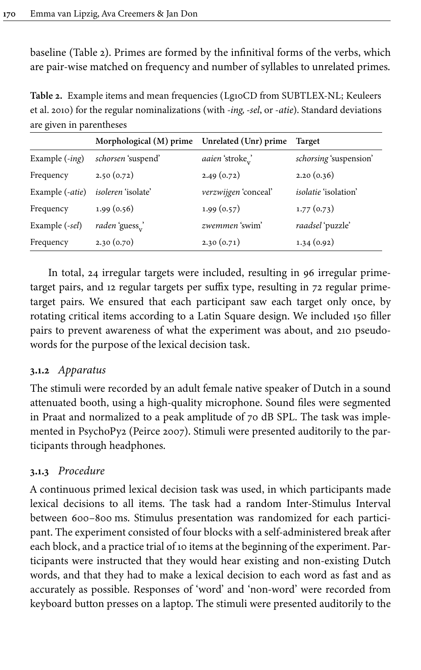baseline ([Table](#page-6-0) 2). Primes are formed by the infinitival forms of the verbs, which are pair-wise matched on frequency and number of syllables to unrelated primes.

<span id="page-6-0"></span>**Table 2.** Example items and mean frequencies (Lg10CD from SUBTLEX-NL; [Keuleers](#page-14-9) et [al. 2010\)](#page-14-9) for the regular nominalizations (with *-ing, -sel*, or *-atie*). Standard deviations are given in parentheses

|                         | Morphological (M) prime Unrelated (Unr) prime |                        | <b>Target</b>               |
|-------------------------|-----------------------------------------------|------------------------|-----------------------------|
| Example $(-ing)$        | schorsen 'suspend'                            | <i>aaien</i> 'stroke,' | schorsing 'suspension'      |
| Frequency               | 2.50(0.72)                                    | 2.49(0.72)             | 2.20(0.36)                  |
| Example (-atie)         | <i>isoleren</i> 'isolate'                     | verzwijgen 'conceal'   | <i>isolatie</i> 'isolation' |
| Frequency               | 1.99(0.56)                                    | 1.99(0.57)             | 1.77(0.73)                  |
| Example ( <i>-sel</i> ) | raden 'guess,'                                | zwemmen 'swim'         | raadsel 'puzzle'            |
| Frequency               | 2.30(0.70)                                    | 2.30(0.71)             | 1.34(0.92)                  |

In total, 24 irregular targets were included, resulting in 96 irregular primetarget pairs, and 12 regular targets per suffix type, resulting in 72 regular primetarget pairs. We ensured that each participant saw each target only once, by rotating critical items according to a Latin Square design. We included 150 filler pairs to prevent awareness of what the experiment was about, and 210 pseudowords for the purpose of the lexical decision task.

#### **3.1.2** *Apparatus*

The stimuli were recorded by an adult female native speaker of Dutch in a sound attenuated booth, using a high-quality microphone. Sound files were segmented in Praat and normalized to a peak amplitude of 70 dB SPL. The task was implemented in PsychoPy2 [\(Peirce 2007\)](#page-14-10). Stimuli were presented auditorily to the participants through headphones.

#### **3.1.3** *Procedure*

A continuous primed lexical decision task was used, in which participants made lexical decisions to all items. The task had a random Inter-Stimulus Interval between 600–800 ms. Stimulus presentation was randomized for each participant. The experiment consisted of four blocks with a self-administered break after each block, and a practice trial of 10 items at the beginning of the experiment. Participants were instructed that they would hear existing and non-existing Dutch words, and that they had to make a lexical decision to each word as fast and as accurately as possible. Responses of 'word' and 'non-word' were recorded from keyboard button presses on a laptop. The stimuli were presented auditorily to the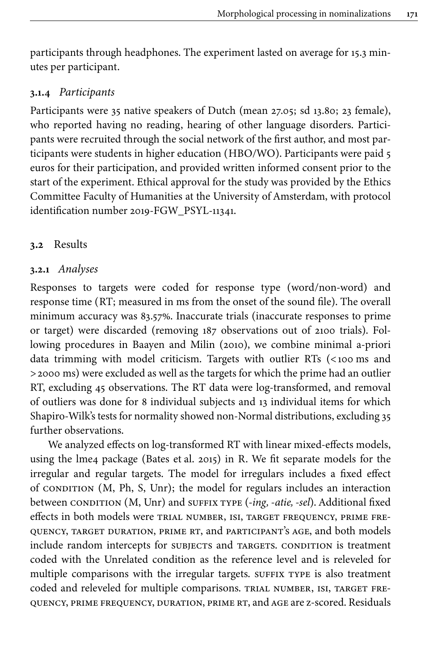participants through headphones. The experiment lasted on average for 15.3 minutes per participant.

#### **3.1.4** *Participants*

Participants were 35 native speakers of Dutch (mean 27.05; sd 13.80; 23 female), who reported having no reading, hearing of other language disorders. Participants were recruited through the social network of the first author, and most participants were students in higher education (HBO/WO). Participants were paid 5 euros for their participation, and provided written informed consent prior to the start of the experiment. Ethical approval for the study was provided by the Ethics Committee Faculty of Humanities at the University of Amsterdam, with protocol identification number 2019-FGW\_PSYL-11341.

#### **3.2** Results

#### **3.2.1** *Analyses*

Responses to targets were coded for response type (word/non-word) and response time (RT; measured in ms from the onset of the sound file). The overall minimum accuracy was 83.57%. Inaccurate trials (inaccurate responses to prime or target) were discarded (removing 187 observations out of 2100 trials). Following procedures in [Baayen and Milin \(2010\)](#page-13-6), we combine minimal a-priori data trimming with model criticism. Targets with outlier RTs (<100 ms and >2000 ms) were excluded as well as the targets for which the prime had an outlier RT, excluding 45 observations. The RT data were log-transformed, and removal of outliers was done for 8 individual subjects and 13 individual items for which Shapiro-Wilk's tests for normality showed non-Normal distributions, excluding 35 further observations.

We analyzed effects on log-transformed RT with linear mixed-effects models, using the lme4 package [\(Bates et](#page-13-7) al. 2015) in R. We fit separate models for the irregular and regular targets. The model for irregulars includes a fixed effect of CONDITION  $(M, Ph, S, Unr)$ ; the model for regulars includes an interaction between CONDITION (M, Unr) and SUFFIX TYPE (-ing, -atie, -sel). Additional fixed effects in both models were trial number, isi, target frequency, prime frequency, target duration, prime rt, and participant's age, and both models include random intercepts for subjects and targets. CONDITION is treatment coded with the Unrelated condition as the reference level and is releveled for multiple comparisons with the irregular targets. SUFFIX TYPE is also treatment coded and releveled for multiple comparisons. TRIAL NUMBER, ISI, TARGET FREquency, prime frequency, duration, prime rt, and age are z-scored. Residuals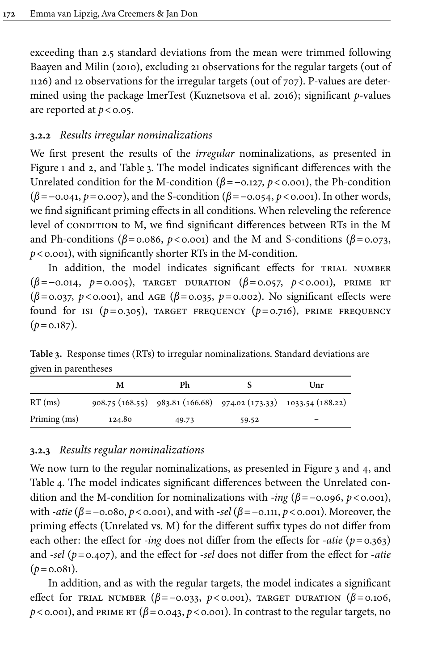exceeding than 2.5 standard deviations from the mean were trimmed following [Baayen and Milin \(2010\)](#page-13-6), excluding 21 observations for the regular targets (out of 1126) and 12 observations for the irregular targets (out of 707). P-values are determined using the package lmerTest [\(Kuznetsova et](#page-14-11) al. 2016); significant *p*-values are reported at  $p < 0.05$ .

#### **3.2.2** *Results irregular nominalizations*

We first present the results of the *irregular* nominalizations, as presented in [Figure](#page-9-0) 1 and 2, and [Table](#page-8-0) 3. The model indicates significant differences with the Unrelated condition for the M-condition (*β*=−0.127, *p*<0.001), the Ph-condition (*β*=−0.041, *p*=0.007), and the S-condition (*β*=−0.054, *p*<0.001). In other words, we find significant priming effects in all conditions. When releveling the reference level of CONDITION to M, we find significant differences between RTs in the M and Ph-conditions ( $\beta$ =0.086,  $p$ <0.001) and the M and S-conditions ( $\beta$ =0.073, *p*<0.001), with significantly shorter RTs in the M-condition.

In addition, the model indicates significant effects for TRIAL NUMBER (*β*=−0.014, *p*=0.005), target duration (*β*=0.057, *p*<0.001), prime rt (*β*=0.037, *p*<0.001), and age (*β*=0.035, *p*=0.002). No significant effects were found for isi (*p*=0.305), target frequency (*p*=0.716), prime frequency  $(p=0.187)$ .

<span id="page-8-0"></span>**Table 3.** Response times (RTs) to irregular nominalizations. Standard deviations are given in parentheses

|              | M      | Ph    |       | Unr                                                              |
|--------------|--------|-------|-------|------------------------------------------------------------------|
| $RT$ (ms)    |        |       |       | 908.75 (168.55) 983.81 (166.68) 974.02 (173.33) 1033.54 (188.22) |
| Priming (ms) | 124.80 | 49.73 | 59.52 | -                                                                |

#### **3.2.3** *Results regular nominalizations*

We now turn to the regular nominalizations, as presented in [Figure](#page-11-0) 3 and 4, and [Table](#page-9-1) 4. The model indicates significant differences between the Unrelated condition and the M-condition for nominalizations with *-ing* (*β*=−0.096, *p*<0.001), with -*atie* (*β*=−0.080, *p*<0.001), and with -*sel* (*β*=−0.111, *p*<0.001). Moreover, the priming effects (Unrelated vs. M) for the different suffix types do not differ from each other: the effect for *-ing* does not differ from the effects for -*atie* (*p*=0.363) and *-sel* (*p*=0.407), and the effect for *-sel* does not differ from the effect for *-atie*  $(p=0.081)$ .

In addition, and as with the regular targets, the model indicates a significant effect for trial number (*β*=−0.033, *p*<0.001), target duration (*β*=0.106,  $p$ <0.001), and PRIME RT ( $\beta$ =0.043,  $p$ <0.001). In contrast to the regular targets, no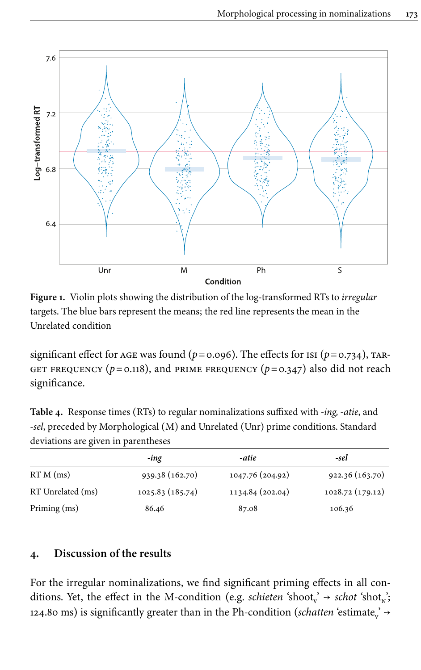<span id="page-9-0"></span>

**Figure 1.** Violin plots showing the distribution of the log-transformed RTs to *irregular* targets. The blue bars represent the means; the red line represents the mean in the Unrelated condition

significant effect for AGE was found ( $p = 0.096$ ). The effects for ISI ( $p = 0.734$ ), TAR-GET FREQUENCY ( $p=0.118$ ), and prime frequency ( $p=0.347$ ) also did not reach significance.

<span id="page-9-1"></span>**Table 4.** Response times (RTs) to regular nominalizations suffixed with *-ing, -atie*, and -*sel*, preceded by Morphological (M) and Unrelated (Unr) prime conditions. Standard deviations are given in parentheses

|                   | -ing            | -atie            | -sel            |
|-------------------|-----------------|------------------|-----------------|
| $RTM$ (ms)        | 939.38 (162.70) | 1047.76 (204.92) | 922.36 (163.70) |
| RT Unrelated (ms) | 1025.83(185.74) | 1134.84 (202.04) | 1028.72(179.12) |
| Priming (ms)      | 86.46           | 87.08            | 106.36          |

#### **4. Discussion of the results**

For the irregular nominalizations, we find significant priming effects in all conditions. Yet, the effect in the M-condition (e.g. *schieten* 'shoot<sub>v</sub>' → *schot* 'shot<sub>n</sub>'; 124.80 ms) is significantly greater than in the Ph-condition (*schatten* 'estimate<sub>v</sub>'  $\rightarrow$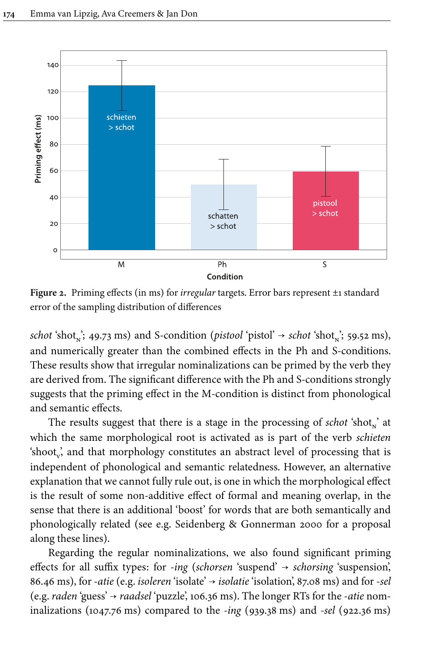

**Figure 2.** Priming effects (in ms) for *irregular* targets. Error bars represent ±1 standard error of the sampling distribution of differences

 $schot 'shot'_{\text{N}}$ ; 49.73 ms) and S-condition (*pistool* 'pistol' → *schot* 'shot<sub>n</sub>'; 59.52 ms), and numerically greater than the combined effects in the Ph and S-conditions. These results show that irregular nominalizations can be primed by the verb they are derived from. The significant difference with the Ph and S-conditions strongly suggests that the priming effect in the M-condition is distinct from phonological and semantic effects.

The results suggest that there is a stage in the processing of *schot* 'shot<sub>n</sub>' at which the same morphological root is activated as is part of the verb *schieten* 'shoot $_{v}$ , and that morphology constitutes an abstract level of processing that is independent of phonological and semantic relatedness. However, an alternative explanation that we cannot fully rule out, is one in which the morphological effect is the result of some non-additive effect of formal and meaning overlap, in the sense that there is an additional 'boost' for words that are both semantically and phonologically related (see e.g. [Seidenberg & Gonnerman 2000](#page-14-12) for a proposal along these lines).

Regarding the regular nominalizations, we also found significant priming effects for all suffix types: for -*ing* (*schorsen* 'suspend' → *schorsing* 'suspension', 86.46 ms), for -*atie* (e.g. *isoleren* 'isolate' → *isolatie* 'isolation', 87.08 ms) and for -*sel* (e.g. *raden* 'guess' → *raadsel* 'puzzle', 106.36 ms). The longer RTs for the *-atie* nominalizations (1047.76 ms) compared to the *-ing* (939.38 ms) and *-sel* (922.36 ms)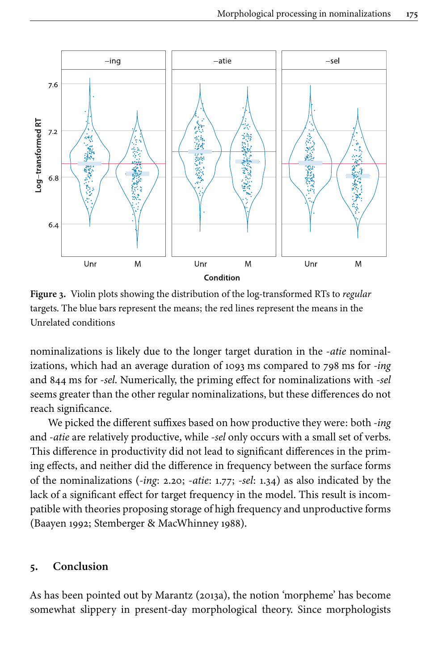<span id="page-11-0"></span>

**Figure 3.** Violin plots showing the distribution of the log-transformed RTs to *regular* targets. The blue bars represent the means; the red lines represent the means in the Unrelated conditions

nominalizations is likely due to the longer target duration in the *-atie* nominalizations, which had an average duration of 1093 ms compared to 798 ms for *-ing* and 844 ms for -*sel*. Numerically, the priming effect for nominalizations with *-sel* seems greater than the other regular nominalizations, but these differences do not reach significance.

We picked the different suffixes based on how productive they were: both -*ing* and -*atie* are relatively productive, while *-sel* only occurs with a small set of verbs. This difference in productivity did not lead to significant differences in the priming effects, and neither did the difference in frequency between the surface forms of the nominalizations (*-ing*: 2.20; *-atie*: 1.77; *-sel*: 1.34) as also indicated by the lack of a significant effect for target frequency in the model. This result is incompatible with theories proposing storage of high frequency and unproductive forms [\(Baayen 1992](#page-13-8); [Stemberger & MacWhinney 1988\)](#page-14-13).

#### **5. Conclusion**

As has been pointed out by [Marantz \(2013a\),](#page-14-14) the notion 'morpheme' has become somewhat slippery in present-day morphological theory. Since morphologists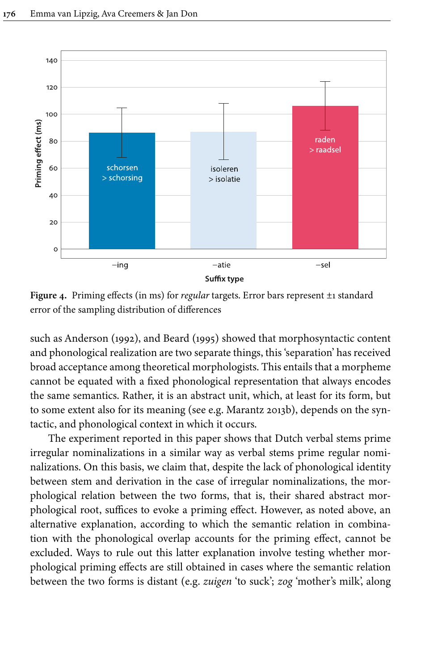

**Figure 4.** Priming effects (in ms) for *regular* targets. Error bars represent ±1 standard error of the sampling distribution of differences

such as [Anderson \(1992\),](#page-13-9) and [Beard \(1995\)](#page-13-10) showed that morphosyntactic content and phonological realization are two separate things, this 'separation' has received broad acceptance among theoretical morphologists. This entails that a morpheme cannot be equated with a fixed phonological representation that always encodes the same semantics. Rather, it is an abstract unit, which, at least for its form, but to some extent also for its meaning (see e.g. [Marantz 2013b\)](#page-14-15), depends on the syntactic, and phonological context in which it occurs.

The experiment reported in this paper shows that Dutch verbal stems prime irregular nominalizations in a similar way as verbal stems prime regular nominalizations. On this basis, we claim that, despite the lack of phonological identity between stem and derivation in the case of irregular nominalizations, the morphological relation between the two forms, that is, their shared abstract morphological root, suffices to evoke a priming effect. However, as noted above, an alternative explanation, according to which the semantic relation in combination with the phonological overlap accounts for the priming effect, cannot be excluded. Ways to rule out this latter explanation involve testing whether morphological priming effects are still obtained in cases where the semantic relation between the two forms is distant (e.g. *zuigen* 'to suck'; *zog* 'mother's milk', along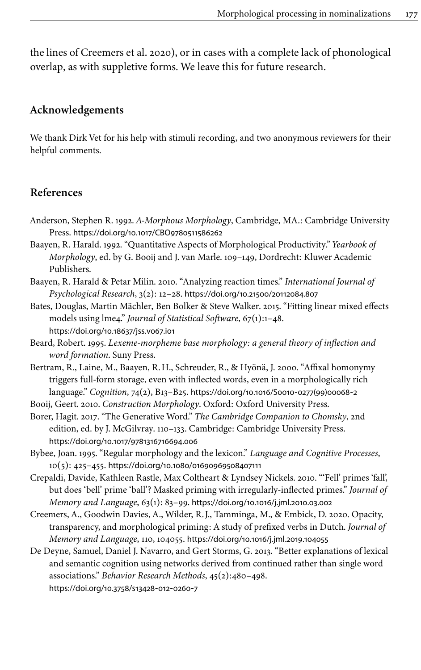the lines of [Creemers et](#page-13-11) al. 2020), or in cases with a complete lack of phonological overlap, as with suppletive forms. We leave this for future research.

#### **Acknowledgements**

We thank Dirk Vet for his help with stimuli recording, and two anonymous reviewers for their helpful comments.

#### **References**

- <span id="page-13-9"></span>Anderson, Stephen R. 1992. *A-Morphous Morphology*, Cambridge, MA.: Cambridge University Press. [https://doi.org/10.1017/CBO9780511586262](https://doi.org/10.1017%2FCBO9780511586262)
- <span id="page-13-8"></span>Baayen, R. Harald. 1992. "Quantitative Aspects of Morphological Productivity." *Yearbook of Morphology*, ed. by G. Booij and J. van Marle. 109–149, Dordrecht: Kluwer Academic Publishers.
- <span id="page-13-6"></span>Baayen, R. Harald & Petar Milin. 2010. "Analyzing reaction times." *International Journal of Psychological Research*, 3(2): 12–28. [https://doi.org/10.21500/20112084.807](https://doi.org/10.21500%2F20112084.807)
- <span id="page-13-7"></span>Bates, Douglas, Martin Mächler, Ben Bolker & Steve Walker. 2015. "Fitting linear mixed effects models using lme4." *Journal of Statistical Software*, 67(1):1–48. [https://doi.org/10.18637/jss.v067.i01](https://doi.org/10.18637%2Fjss.v067.i01)
- <span id="page-13-10"></span>Beard, Robert. 1995. *Lexeme-morpheme base morphology: a general theory of inflection and word formation*. Suny Press.
- <span id="page-13-0"></span>Bertram, R., Laine, M., Baayen, R.H., Schreuder, R., & Hyönä, J. 2000. "Affixal homonymy triggers full-form storage, even with inflected words, even in a morphologically rich language." *Cognition*, 74(2), B13–B25. [https://doi.org/10.1016/S0010](https://doi.org/10.1016%2FS0010-0277%2899%2900068-2)‑0277(99)00068‑2
- <span id="page-13-2"></span>Booij, Geert. 2010. *Construction Morphology*. Oxford: Oxford University Press.
- <span id="page-13-4"></span>Borer, Hagit. 2017. "The Generative Word." *The Cambridge Companion to Chomsky*, 2nd edition, ed. by J. McGilvray. 110–133. Cambridge: Cambridge University Press. [https://doi.org/10.1017/9781316716694.006](https://doi.org/10.1017%2F9781316716694.006)
- <span id="page-13-1"></span>Bybee, Joan. 1995. "Regular morphology and the lexicon." *Language and Cognitive Processes*, 10(5): 425–455. [https://doi.org/10.1080/01690969508407111](https://doi.org/10.1080%2F01690969508407111)
- <span id="page-13-3"></span>Crepaldi, Davide, Kathleen Rastle, Max Coltheart & Lyndsey Nickels. 2010. "'Fell' primes 'fall', but does 'bell' prime 'ball'? Masked priming with irregularly-inflected primes." *Journal of Memory and Language*, 63(1): 83–99. [https://doi.org/10.1016/j.jml.2010.03.002](https://doi.org/10.1016%2Fj.jml.2010.03.002)
- <span id="page-13-11"></span>Creemers, A., Goodwin Davies, A., Wilder, R.J., Tamminga, M., & Embick, D. 2020. Opacity, transparency, and morphological priming: A study of prefixed verbs in Dutch. *Journal of Memory and Language*, 110, 104055. [https://doi.org/10.1016/j.jml.2019.104055](https://doi.org/10.1016%2Fj.jml.2019.104055)
- <span id="page-13-5"></span>De Deyne, Samuel, Daniel J. Navarro, and Gert Storms, G. 2013. "Better explanations of lexical and semantic cognition using networks derived from continued rather than single word associations." *Behavior Research Methods*, 45(2):480–498. [https://doi.org/10.3758/s13428](https://doi.org/10.3758%2Fs13428-012-0260-7)‑012‑0260‑7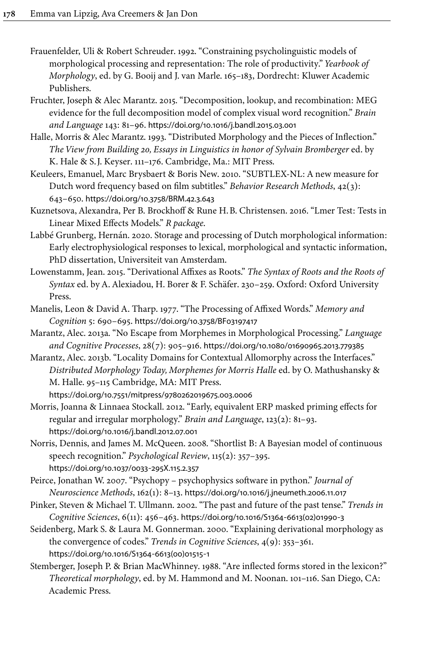- <span id="page-14-3"></span>Frauenfelder, Uli & Robert Schreuder. 1992. "Constraining psycholinguistic models of morphological processing and representation: The role of productivity." *Yearbook of Morphology*, ed. by G. Booij and J. van Marle. 165–183, Dordrecht: Kluwer Academic Publishers.
- <span id="page-14-2"></span>Fruchter, Joseph & Alec Marantz. 2015. "Decomposition, lookup, and recombination: MEG evidence for the full decomposition model of complex visual word recognition." *Brain and Language* 143: 81–96. [https://doi.org/10.1016/j.bandl.2015.03.001](https://doi.org/10.1016%2Fj.bandl.2015.03.001)
- <span id="page-14-7"></span>Halle, Morris & Alec Marantz. 1993. "Distributed Morphology and the Pieces of Inflection." *The View from Building 20, Essays in Linguistics in honor of Sylvain Bromberger* ed. by K. Hale & S.J. Keyser. 111–176. Cambridge, Ma.: MIT Press.
- <span id="page-14-9"></span>Keuleers, Emanuel, Marc Brysbaert & Boris New. 2010. "SUBTLEX-NL: A new measure for Dutch word frequency based on film subtitles." *Behavior Research Methods*, 42(3): 643–650. [https://doi.org/10.3758/BRM.42.3.643](https://doi.org/10.3758%2FBRM.42.3.643)
- <span id="page-14-11"></span>Kuznetsova, Alexandra, Per B. Brockhoff & Rune H.B. Christensen. 2016. "Lmer Test: Tests in Linear Mixed Effects Models." *R package*.
- <span id="page-14-5"></span>Labbé Grunberg, Hernán. 2020. Storage and processing of Dutch morphological information: Early electrophysiological responses to lexical, morphological and syntactic information, PhD dissertation, Universiteit van Amsterdam.
- <span id="page-14-8"></span>Lowenstamm, Jean. 2015. "Derivational Affixes as Roots." *The Syntax of Roots and the Roots of Syntax* ed. by A. Alexiadou, H. Borer & F. Schäfer. 230–259. Oxford: Oxford University Press.
- <span id="page-14-0"></span>Manelis, Leon & David A. Tharp. 1977. "The Processing of Affixed Words." *Memory and Cognition* 5: 690–695. [https://doi.org/10.3758/BF03197417](https://doi.org/10.3758%2FBF03197417)
- <span id="page-14-14"></span>Marantz, Alec. 2013a. "No Escape from Morphemes in Morphological Processing." *Language and Cognitive Processes*, 28(7): 905–916. [https://doi.org/10.1080/01690965.2013.779385](https://doi.org/10.1080%2F01690965.2013.779385)
- <span id="page-14-15"></span>Marantz, Alec. 2013b. "Locality Domains for Contextual Allomorphy across the Interfaces." *Distributed Morphology Today, Morphemes for Morris Halle* ed. by O. Mathushansky & M. Halle. 95–115 Cambridge, MA: MIT Press. [https://doi.org/10.7551/mitpress/9780262019675.003.0006](https://doi.org/10.7551%2Fmitpress%2F9780262019675.003.0006)
- <span id="page-14-6"></span>Morris, Joanna & Linnaea Stockall. 2012. "Early, equivalent ERP masked priming effects for regular and irregular morphology." *Brain and Language*, 123(2): 81–93. [https://doi.org/10.1016/j.bandl.2012.07.001](https://doi.org/10.1016%2Fj.bandl.2012.07.001)
- <span id="page-14-1"></span>Norris, Dennis, and James M. McQueen. 2008. "Shortlist B: A Bayesian model of continuous speech recognition." *Psychological Review*, 115(2): 357–395. [https://doi.org/10.1037/0033](https://doi.org/10.1037%2F0033-295X.115.2.357)‑295X.115.2.357

<span id="page-14-10"></span>Peirce, Jonathan W. 2007. "Psychopy – psychophysics software in python." *Journal of Neuroscience Methods*, 162(1): 8–13. [https://doi.org/10.1016/j.jneumeth.2006.11.017](https://doi.org/10.1016%2Fj.jneumeth.2006.11.017)

- <span id="page-14-4"></span>Pinker, Steven & Michael T. Ullmann. 2002. "The past and future of the past tense." *Trends in Cognitive Sciences*, 6(11): 456–463. [https://doi.org/10.1016/S1364](https://doi.org/10.1016%2FS1364-6613%2802%2901990-3)‑6613(02)01990‑3
- <span id="page-14-12"></span>Seidenberg, Mark S. & Laura M. Gonnerman. 2000. "Explaining derivational morphology as the convergence of codes." *Trends in Cognitive Sciences*, 4(9): 353–361. [https://doi.org/10.1016/S1364](https://doi.org/10.1016%2FS1364-6613%2800%2901515-1)‑6613(00)01515‑1
- <span id="page-14-13"></span>Stemberger, Joseph P. & Brian MacWhinney. 1988. "Are inflected forms stored in the lexicon?" *Theoretical morphology*, ed. by M. Hammond and M. Noonan. 101–116. San Diego, CA: Academic Press.